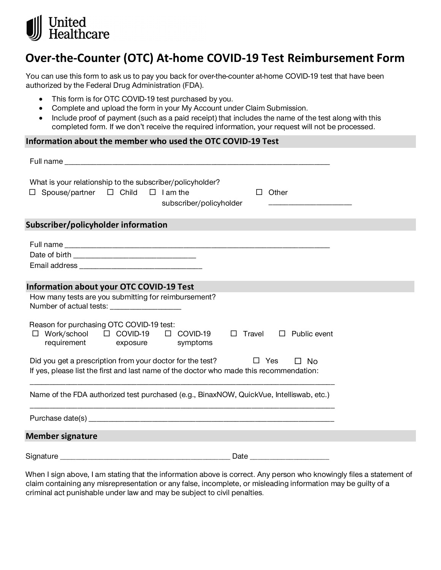

## **Over-the-Counter (OTC) At-home COVID-19 Test Reimbursement Form**

You can use this form to ask us to pay you back for over-the-counter at-home COVID-19 test that have been authorized by the Federal Drug Administration (FDA).

- This form is for OTC COVID-19 test purchased by you.
- Complete and upload the form in your My Account under Claim Submission.
- Include proof of payment (such as a paid receipt) that includes the name of the test along with this completed form. If we don't receive the required information, your request will not be processed.

## **Information about the member who used the OTC COVID-19 Test**

| What is your relationship to the subscriber/policyholder?<br>$\Box$ Spouse/partner $\Box$ Child<br>$\Box$ I am the<br>Other<br>П<br>subscriber/policyholder                      |
|----------------------------------------------------------------------------------------------------------------------------------------------------------------------------------|
| Subscriber/policyholder information                                                                                                                                              |
|                                                                                                                                                                                  |
| <b>Information about your OTC COVID-19 Test</b>                                                                                                                                  |
| How many tests are you submitting for reimbursement?<br>Number of actual tests: ____________________                                                                             |
| Reason for purchasing OTC COVID-19 test:<br>$\Box$ Work/school<br>$\Box$ COVID-19 $\Box$ COVID-19<br>$\Box$ Travel<br>$\Box$ Public event<br>requirement<br>exposure<br>symptoms |
| Did you get a prescription from your doctor for the test?<br>$\Box$ Yes<br>$\Box$ No<br>If yes, please list the first and last name of the doctor who made this recommendation:  |
| Name of the FDA authorized test purchased (e.g., BinaxNOW, QuickVue, Intelliswab, etc.)                                                                                          |
|                                                                                                                                                                                  |
| <b>Member signature</b>                                                                                                                                                          |
|                                                                                                                                                                                  |

When I sign above, I am stating that the information above is correct. Any person who knowingly files a statement of claim containing any misrepresentation or any false, incomplete, or misleading information may be guilty of a criminal act punishable under law and may be subject to civil penalties.